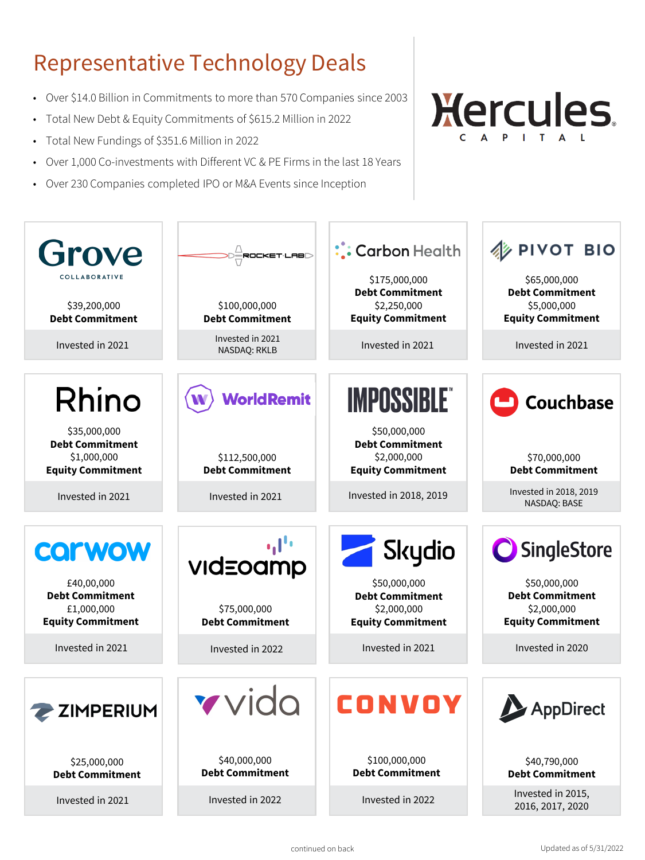# Representative Technology Deals

- Over \$14.0 Billion in Commitments to more than 570 Companies since 2003
- Total New Debt & Equity Commitments of \$615.2 Million in 2022
- Total New Fundings of \$351.6 Million in 2022
- Over 1,000 Co-investments with Different VC & PE Firms in the last 18 Years
- Over 230 Companies completed IPO or M&A Events since Inception